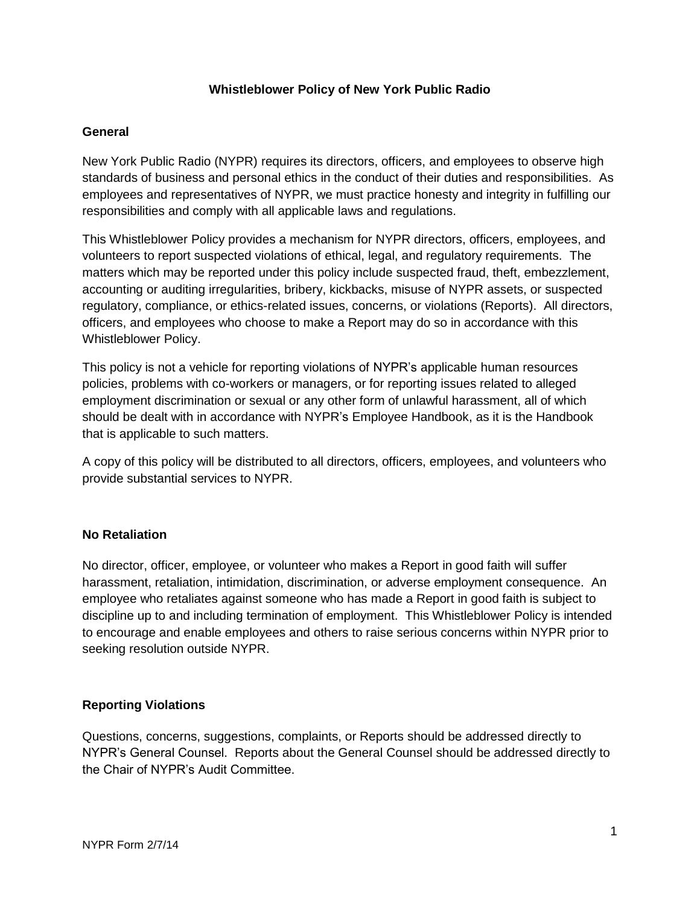# **Whistleblower Policy of New York Public Radio**

## **General**

New York Public Radio (NYPR) requires its directors, officers, and employees to observe high standards of business and personal ethics in the conduct of their duties and responsibilities. As employees and representatives of NYPR, we must practice honesty and integrity in fulfilling our responsibilities and comply with all applicable laws and regulations.

This Whistleblower Policy provides a mechanism for NYPR directors, officers, employees, and volunteers to report suspected violations of ethical, legal, and regulatory requirements. The matters which may be reported under this policy include suspected fraud, theft, embezzlement, accounting or auditing irregularities, bribery, kickbacks, misuse of NYPR assets, or suspected regulatory, compliance, or ethics-related issues, concerns, or violations (Reports). All directors, officers, and employees who choose to make a Report may do so in accordance with this Whistleblower Policy.

This policy is not a vehicle for reporting violations of NYPR's applicable human resources policies, problems with co-workers or managers, or for reporting issues related to alleged employment discrimination or sexual or any other form of unlawful harassment, all of which should be dealt with in accordance with NYPR's Employee Handbook, as it is the Handbook that is applicable to such matters.

A copy of this policy will be distributed to all directors, officers, employees, and volunteers who provide substantial services to NYPR.

### **No Retaliation**

No director, officer, employee, or volunteer who makes a Report in good faith will suffer harassment, retaliation, intimidation, discrimination, or adverse employment consequence. An employee who retaliates against someone who has made a Report in good faith is subject to discipline up to and including termination of employment. This Whistleblower Policy is intended to encourage and enable employees and others to raise serious concerns within NYPR prior to seeking resolution outside NYPR.

### **Reporting Violations**

Questions, concerns, suggestions, complaints, or Reports should be addressed directly to NYPR's General Counsel. Reports about the General Counsel should be addressed directly to the Chair of NYPR's Audit Committee.